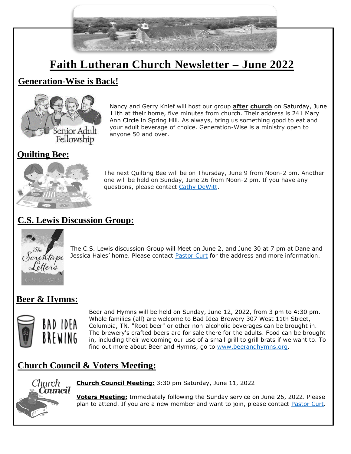

# **Faith Lutheran Church Newsletter – June 2022**

### **Generation-Wise is Back!**



Nancy and Gerry Knief will host our group **after church** on Saturday, June 11th at their home, five minutes from church. Their address is 241 Mary Ann Circle in Spring Hill. As always, bring us something good to eat and your adult beverage of choice. Generation-Wise is a ministry open to anyone 50 and over.

### **Quilting Bee:**



The next Quilting Bee will be on Thursday, June 9 from Noon-2 pm. Another one will be held on Sunday, June 26 from Noon-2 pm. If you have any questions, please contact [Cathy DeWitt.](mailto:crazy4horses@bright.net)

# **C.S. Lewis Discussion Group:**



The C.S. Lewis discussion Group will Meet on June 2, and June 30 at 7 pm at Dane and Jessica Hales' home. Please contact [Pastor Curt](mailto:pastorcurthoover@gmail.com) for the address and more information.

### **Beer & Hymns:**



Beer and Hymns will be held on Sunday, June 12, 2022, from 3 pm to 4:30 pm. Whole families (all) are welcome to Bad Idea Brewery 307 West 11th Street, Columbia, TN. "Root beer" or other non-alcoholic beverages can be brought in. The brewery's crafted beers are for sale there for the adults. Food can be brought in, including their welcoming our use of a small grill to grill brats if we want to. To find out more about Beer and Hymns, go to [www.beerandhymns.org.](http://www.beerandhymns.org/)

## **Church Council & Voters Meeting:**



**Church Council Meeting:** 3:30 pm Saturday, June 11, 2022

**Voters Meeting:** Immediately following the Sunday service on June 26, 2022. Please plan to attend. If you are a new member and want to join, please contact [Pastor Curt.](mailto:pastorcurthoover@gmail.com)